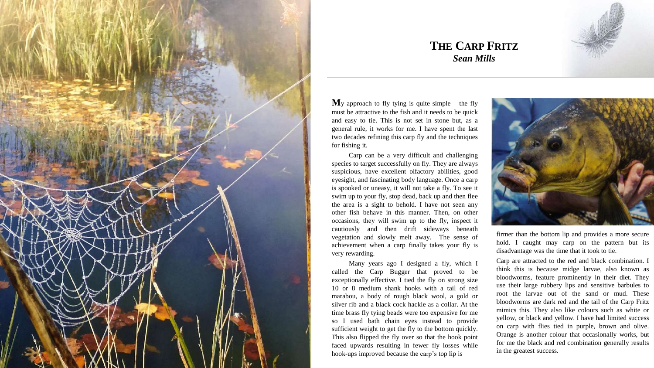

## **THE CARP FRITZ** *Sean Mills*

 $M_v$  approach to fly tying is quite simple – the fly must be attractive to the fish and it needs to be quick and easy to tie. This is not set in stone but, as a general rule, it works for me. I have spent the last two decades refining this carp fly and the techniques for fishing it.

Carp can be a very difficult and challenging species to target successfully on fly. They are always suspicious, have excellent olfactory abilities, good eyesight, and fascinating body language. Once a carp is spooked or uneasy, it will not take a fly. To see it swim up to your fly, stop dead, back up and then flee the area is a sight to behold. I have not seen any other fish behave in this manner. Then, on other occasions, they will swim up to the fly, inspect it cautiously and then drift sideways beneath vegetation and slowly melt away. The sense of achievement when a carp finally takes your fly is very rewarding.

Many years ago I designed a fly, which I called the Carp Bugger that proved to be exceptionally effective. I tied the fly on strong size 10 or 8 medium shank hooks with a tail of red marabou, a body of rough black wool, a gold or silver rib and a black cock hackle as a collar. At the time brass fly tying beads were too expensive for me so I used bath chain eyes instead to provide sufficient weight to get the fly to the bottom quickly. This also flipped the fly over so that the hook point faced upwards resulting in fewer fly losses while hook-ups improved because the carp's top lip is



firmer than the bottom lip and provides a more secure hold. I caught may carp on the pattern but its disadvantage was the time that it took to tie.

Carp are attracted to the red and black combination. I think this is because midge larvae, also known as bloodworms, feature prominently in their diet. They use their large rubbery lips and sensitive barbules to root the larvae out of the sand or mud. These bloodworms are dark red and the tail of the Carp Fritz mimics this. They also like colours such as white or yellow, or black and yellow. I have had limited success on carp with flies tied in purple, brown and olive. Orange is another colour that occasionally works, but for me the black and red combination generally results in the greatest success.